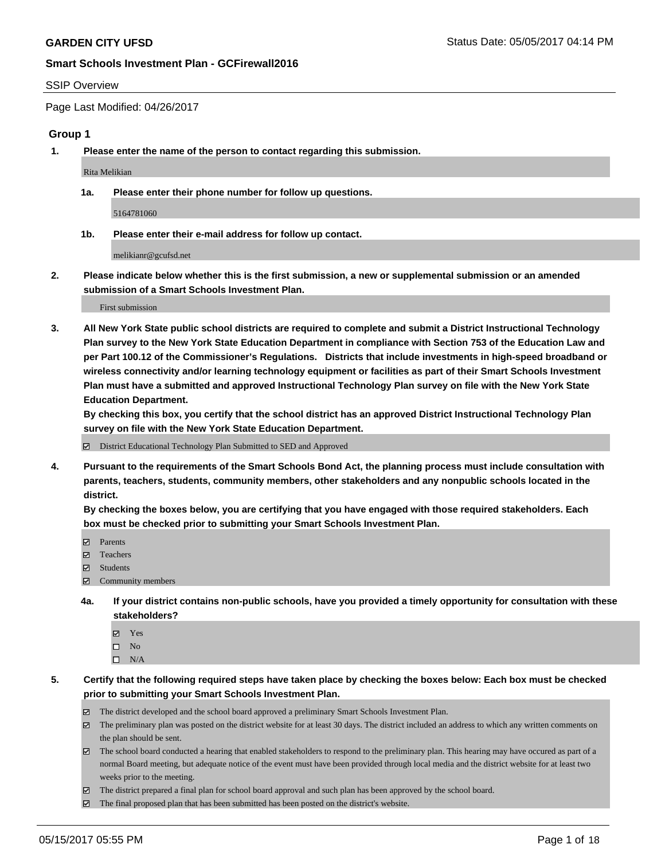#### SSIP Overview

Page Last Modified: 04/26/2017

#### **Group 1**

**1. Please enter the name of the person to contact regarding this submission.**

Rita Melikian

**1a. Please enter their phone number for follow up questions.**

5164781060

**1b. Please enter their e-mail address for follow up contact.**

melikianr@gcufsd.net

**2. Please indicate below whether this is the first submission, a new or supplemental submission or an amended submission of a Smart Schools Investment Plan.**

First submission

**3. All New York State public school districts are required to complete and submit a District Instructional Technology Plan survey to the New York State Education Department in compliance with Section 753 of the Education Law and per Part 100.12 of the Commissioner's Regulations. Districts that include investments in high-speed broadband or wireless connectivity and/or learning technology equipment or facilities as part of their Smart Schools Investment Plan must have a submitted and approved Instructional Technology Plan survey on file with the New York State Education Department.** 

**By checking this box, you certify that the school district has an approved District Instructional Technology Plan survey on file with the New York State Education Department.**

District Educational Technology Plan Submitted to SED and Approved

**4. Pursuant to the requirements of the Smart Schools Bond Act, the planning process must include consultation with parents, teachers, students, community members, other stakeholders and any nonpublic schools located in the district.** 

**By checking the boxes below, you are certifying that you have engaged with those required stakeholders. Each box must be checked prior to submitting your Smart Schools Investment Plan.**

- **マ** Parents
- □ Teachers
- Students
- $\Xi$  Community members
- **4a. If your district contains non-public schools, have you provided a timely opportunity for consultation with these stakeholders?**
	- Yes
	- $\hfill \square$  No
	- $\square$  N/A
- **5. Certify that the following required steps have taken place by checking the boxes below: Each box must be checked prior to submitting your Smart Schools Investment Plan.**
	- The district developed and the school board approved a preliminary Smart Schools Investment Plan.
	- $\boxtimes$  The preliminary plan was posted on the district website for at least 30 days. The district included an address to which any written comments on the plan should be sent.
	- $\boxtimes$  The school board conducted a hearing that enabled stakeholders to respond to the preliminary plan. This hearing may have occured as part of a normal Board meeting, but adequate notice of the event must have been provided through local media and the district website for at least two weeks prior to the meeting.
	- The district prepared a final plan for school board approval and such plan has been approved by the school board.
	- $\boxtimes$  The final proposed plan that has been submitted has been posted on the district's website.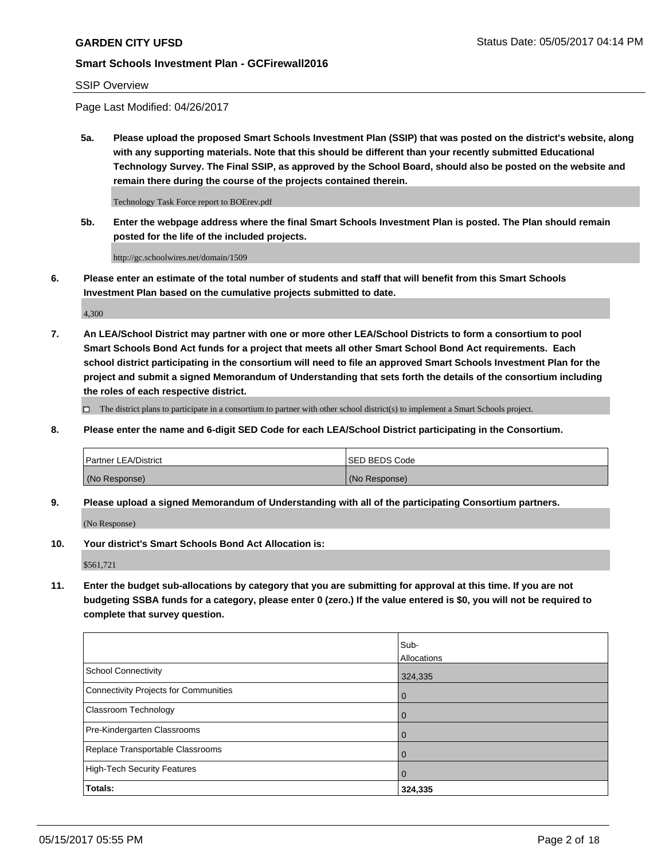#### SSIP Overview

Page Last Modified: 04/26/2017

**5a. Please upload the proposed Smart Schools Investment Plan (SSIP) that was posted on the district's website, along with any supporting materials. Note that this should be different than your recently submitted Educational Technology Survey. The Final SSIP, as approved by the School Board, should also be posted on the website and remain there during the course of the projects contained therein.**

Technology Task Force report to BOErev.pdf

**5b. Enter the webpage address where the final Smart Schools Investment Plan is posted. The Plan should remain posted for the life of the included projects.**

http://gc.schoolwires.net/domain/1509

**6. Please enter an estimate of the total number of students and staff that will benefit from this Smart Schools Investment Plan based on the cumulative projects submitted to date.**

4,300

**7. An LEA/School District may partner with one or more other LEA/School Districts to form a consortium to pool Smart Schools Bond Act funds for a project that meets all other Smart School Bond Act requirements. Each school district participating in the consortium will need to file an approved Smart Schools Investment Plan for the project and submit a signed Memorandum of Understanding that sets forth the details of the consortium including the roles of each respective district.**

 $\Box$  The district plans to participate in a consortium to partner with other school district(s) to implement a Smart Schools project.

**8. Please enter the name and 6-digit SED Code for each LEA/School District participating in the Consortium.**

| <b>Partner LEA/District</b> | <b>ISED BEDS Code</b> |
|-----------------------------|-----------------------|
| (No Response)               | (No Response)         |

**9. Please upload a signed Memorandum of Understanding with all of the participating Consortium partners.**

(No Response)

**10. Your district's Smart Schools Bond Act Allocation is:**

\$561,721

**11. Enter the budget sub-allocations by category that you are submitting for approval at this time. If you are not budgeting SSBA funds for a category, please enter 0 (zero.) If the value entered is \$0, you will not be required to complete that survey question.**

|                                              | Sub-<br>Allocations |
|----------------------------------------------|---------------------|
| <b>School Connectivity</b>                   | 324,335             |
| <b>Connectivity Projects for Communities</b> | 0                   |
| Classroom Technology                         | 0                   |
| Pre-Kindergarten Classrooms                  | 0                   |
| Replace Transportable Classrooms             | 0                   |
| <b>High-Tech Security Features</b>           | 0                   |
| Totals:                                      | 324,335             |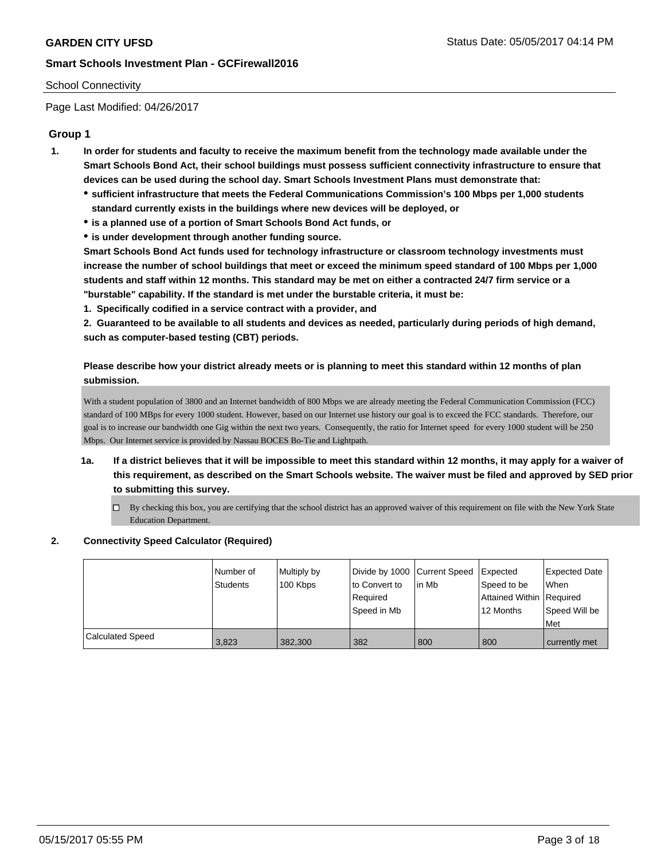## School Connectivity

Page Last Modified: 04/26/2017

## **Group 1**

- **1. In order for students and faculty to receive the maximum benefit from the technology made available under the Smart Schools Bond Act, their school buildings must possess sufficient connectivity infrastructure to ensure that devices can be used during the school day. Smart Schools Investment Plans must demonstrate that:**
	- **sufficient infrastructure that meets the Federal Communications Commission's 100 Mbps per 1,000 students standard currently exists in the buildings where new devices will be deployed, or**
	- **is a planned use of a portion of Smart Schools Bond Act funds, or**
	- **is under development through another funding source.**

**Smart Schools Bond Act funds used for technology infrastructure or classroom technology investments must increase the number of school buildings that meet or exceed the minimum speed standard of 100 Mbps per 1,000 students and staff within 12 months. This standard may be met on either a contracted 24/7 firm service or a "burstable" capability. If the standard is met under the burstable criteria, it must be:**

**1. Specifically codified in a service contract with a provider, and**

**2. Guaranteed to be available to all students and devices as needed, particularly during periods of high demand, such as computer-based testing (CBT) periods.**

## **Please describe how your district already meets or is planning to meet this standard within 12 months of plan submission.**

With a student population of 3800 and an Internet bandwidth of 800 Mbps we are already meeting the Federal Communication Commission (FCC) standard of 100 MBps for every 1000 student. However, based on our Internet use history our goal is to exceed the FCC standards. Therefore, our goal is to increase our bandwidth one Gig within the next two years. Consequently, the ratio for Internet speed for every 1000 student will be 250 Mbps. Our Internet service is provided by Nassau BOCES Bo-Tie and Lightpath.

- **1a. If a district believes that it will be impossible to meet this standard within 12 months, it may apply for a waiver of this requirement, as described on the Smart Schools website. The waiver must be filed and approved by SED prior to submitting this survey.**
	- By checking this box, you are certifying that the school district has an approved waiver of this requirement on file with the New York State Education Department.

#### **2. Connectivity Speed Calculator (Required)**

|                         | Number of<br><b>Students</b> | Multiply by<br>100 Kbps | Divide by 1000 Current Speed<br>to Convert to<br>Required<br>Speed in Mb | lin Mb | Expected<br>Speed to be<br>Attained Within Required<br>12 Months | <b>Expected Date</b><br>When<br>Speed Will be<br>l Met |
|-------------------------|------------------------------|-------------------------|--------------------------------------------------------------------------|--------|------------------------------------------------------------------|--------------------------------------------------------|
| <b>Calculated Speed</b> | 3.823                        | 382.300                 | 382                                                                      | 800    | 800                                                              | currently met                                          |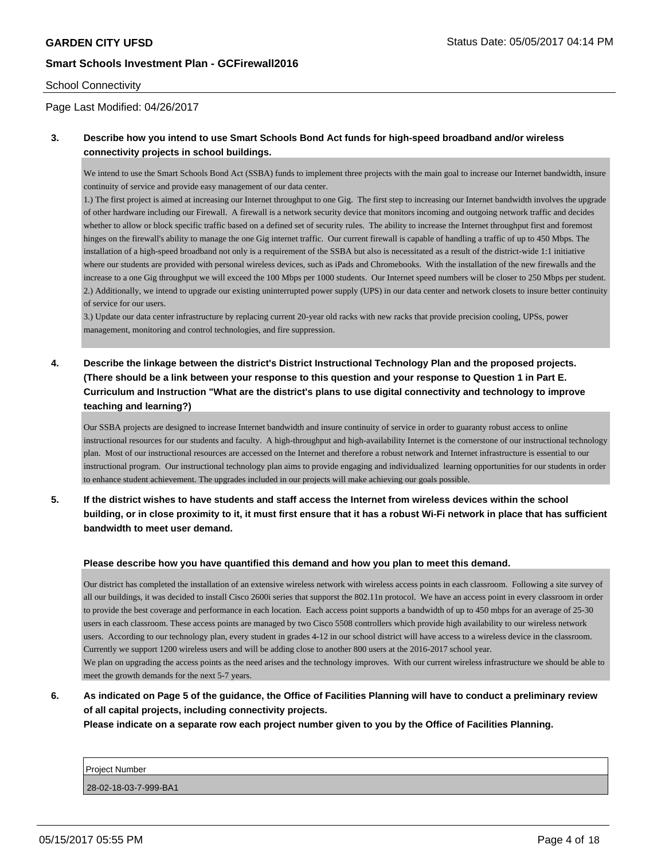#### School Connectivity

Page Last Modified: 04/26/2017

## **3. Describe how you intend to use Smart Schools Bond Act funds for high-speed broadband and/or wireless connectivity projects in school buildings.**

We intend to use the Smart Schools Bond Act (SSBA) funds to implement three projects with the main goal to increase our Internet bandwidth, insure continuity of service and provide easy management of our data center.

1.) The first project is aimed at increasing our Internet throughput to one Gig. The first step to increasing our Internet bandwidth involves the upgrade of other hardware including our Firewall. A firewall is a network security device that monitors incoming and outgoing network traffic and decides whether to allow or block specific traffic based on a defined set of security rules. The ability to increase the Internet throughput first and foremost hinges on the firewall's ability to manage the one Gig internet traffic. Our current firewall is capable of handling a traffic of up to 450 Mbps. The installation of a high-speed broadband not only is a requirement of the SSBA but also is necessitated as a result of the district-wide 1:1 initiative where our students are provided with personal wireless devices, such as iPads and Chromebooks. With the installation of the new firewalls and the increase to a one Gig throughput we will exceed the 100 Mbps per 1000 students. Our Internet speed numbers will be closer to 250 Mbps per student. 2.) Additionally, we intend to upgrade our existing uninterrupted power supply (UPS) in our data center and network closets to insure better continuity of service for our users.

3.) Update our data center infrastructure by replacing current 20-year old racks with new racks that provide precision cooling, UPSs, power management, monitoring and control technologies, and fire suppression.

## **4. Describe the linkage between the district's District Instructional Technology Plan and the proposed projects. (There should be a link between your response to this question and your response to Question 1 in Part E. Curriculum and Instruction "What are the district's plans to use digital connectivity and technology to improve teaching and learning?)**

Our SSBA projects are designed to increase Internet bandwidth and insure continuity of service in order to guaranty robust access to online instructional resources for our students and faculty. A high-throughput and high-availability Internet is the cornerstone of our instructional technology plan. Most of our instructional resources are accessed on the Internet and therefore a robust network and Internet infrastructure is essential to our instructional program. Our instructional technology plan aims to provide engaging and individualized learning opportunities for our students in order to enhance student achievement. The upgrades included in our projects will make achieving our goals possible.

**5. If the district wishes to have students and staff access the Internet from wireless devices within the school building, or in close proximity to it, it must first ensure that it has a robust Wi-Fi network in place that has sufficient bandwidth to meet user demand.**

#### **Please describe how you have quantified this demand and how you plan to meet this demand.**

Our district has completed the installation of an extensive wireless network with wireless access points in each classroom. Following a site survey of all our buildings, it was decided to install Cisco 2600i series that supporst the 802.11n protocol. We have an access point in every classroom in order to provide the best coverage and performance in each location. Each access point supports a bandwidth of up to 450 mbps for an average of 25-30 users in each classroom. These access points are managed by two Cisco 5508 controllers which provide high availability to our wireless network users. According to our technology plan, every student in grades 4-12 in our school district will have access to a wireless device in the classroom. Currently we support 1200 wireless users and will be adding close to another 800 users at the 2016-2017 school year. We plan on upgrading the access points as the need arises and the technology improves. With our current wireless infrastructure we should be able to meet the growth demands for the next 5-7 years.

## **6. As indicated on Page 5 of the guidance, the Office of Facilities Planning will have to conduct a preliminary review of all capital projects, including connectivity projects.**

**Please indicate on a separate row each project number given to you by the Office of Facilities Planning.**

| Project Number        |  |
|-----------------------|--|
| 28-02-18-03-7-999-BA1 |  |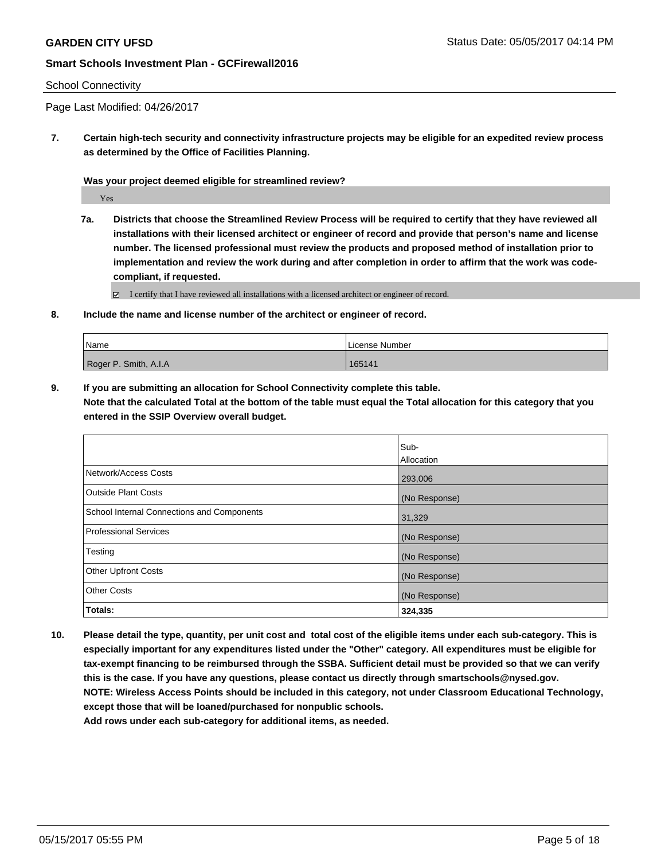#### School Connectivity

Page Last Modified: 04/26/2017

**7. Certain high-tech security and connectivity infrastructure projects may be eligible for an expedited review process as determined by the Office of Facilities Planning.**

**Was your project deemed eligible for streamlined review?**

Yes

- **7a. Districts that choose the Streamlined Review Process will be required to certify that they have reviewed all installations with their licensed architect or engineer of record and provide that person's name and license number. The licensed professional must review the products and proposed method of installation prior to implementation and review the work during and after completion in order to affirm that the work was codecompliant, if requested.**
	- I certify that I have reviewed all installations with a licensed architect or engineer of record.
- **8. Include the name and license number of the architect or engineer of record.**

| Name                  | License Number |
|-----------------------|----------------|
| Roger P. Smith, A.I.A | 165141         |

**9. If you are submitting an allocation for School Connectivity complete this table. Note that the calculated Total at the bottom of the table must equal the Total allocation for this category that you entered in the SSIP Overview overall budget.** 

|                                            | Sub-<br>Allocation |
|--------------------------------------------|--------------------|
| Network/Access Costs                       | 293,006            |
| <b>Outside Plant Costs</b>                 | (No Response)      |
| School Internal Connections and Components | 31,329             |
| <b>Professional Services</b>               | (No Response)      |
| Testing                                    | (No Response)      |
| <b>Other Upfront Costs</b>                 | (No Response)      |
| <b>Other Costs</b>                         | (No Response)      |
| Totals:                                    | 324,335            |

**10. Please detail the type, quantity, per unit cost and total cost of the eligible items under each sub-category. This is especially important for any expenditures listed under the "Other" category. All expenditures must be eligible for tax-exempt financing to be reimbursed through the SSBA. Sufficient detail must be provided so that we can verify this is the case. If you have any questions, please contact us directly through smartschools@nysed.gov. NOTE: Wireless Access Points should be included in this category, not under Classroom Educational Technology, except those that will be loaned/purchased for nonpublic schools. Add rows under each sub-category for additional items, as needed.**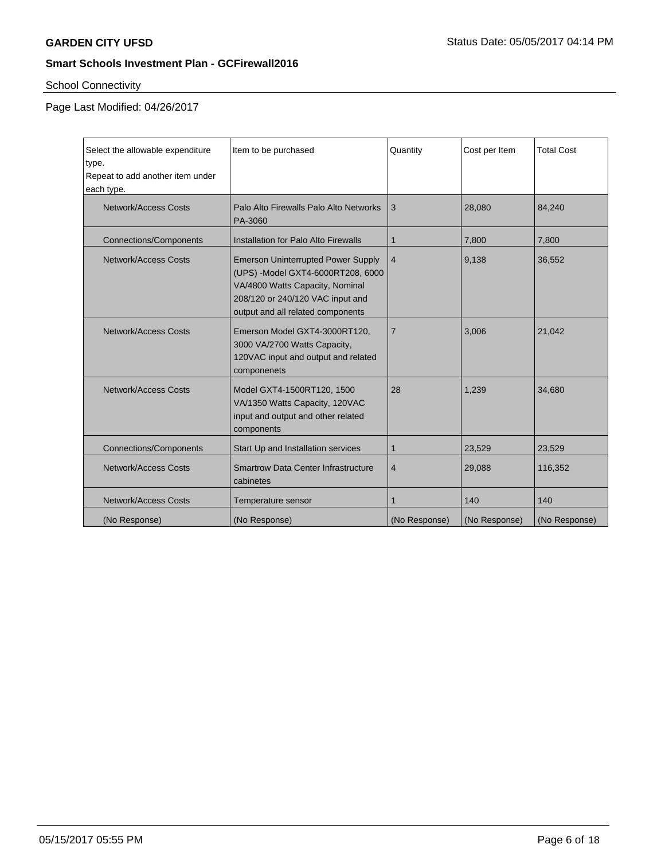# School Connectivity

Page Last Modified: 04/26/2017

| Select the allowable expenditure<br>type.<br>Repeat to add another item under<br>each type. | Item to be purchased                                                                                                                                                                        | Quantity       | Cost per Item | <b>Total Cost</b> |
|---------------------------------------------------------------------------------------------|---------------------------------------------------------------------------------------------------------------------------------------------------------------------------------------------|----------------|---------------|-------------------|
| <b>Network/Access Costs</b>                                                                 | Palo Alto Firewalls Palo Alto Networks<br>PA-3060                                                                                                                                           | 3              | 28.080        | 84.240            |
| <b>Connections/Components</b>                                                               | Installation for Palo Alto Firewalls                                                                                                                                                        | 1              | 7,800         | 7,800             |
| Network/Access Costs                                                                        | <b>Emerson Uninterrupted Power Supply</b><br>(UPS) - Model GXT4-6000RT208, 6000<br>VA/4800 Watts Capacity, Nominal<br>208/120 or 240/120 VAC input and<br>output and all related components | $\overline{4}$ | 9,138         | 36,552            |
| Network/Access Costs                                                                        | Emerson Model GXT4-3000RT120,<br>3000 VA/2700 Watts Capacity,<br>120VAC input and output and related<br>componenets                                                                         | $\overline{7}$ | 3,006         | 21,042            |
| Network/Access Costs                                                                        | Model GXT4-1500RT120, 1500<br>VA/1350 Watts Capacity, 120VAC<br>input and output and other related<br>components                                                                            | 28             | 1,239         | 34,680            |
| <b>Connections/Components</b>                                                               | Start Up and Installation services                                                                                                                                                          | 1              | 23,529        | 23,529            |
| <b>Network/Access Costs</b>                                                                 | <b>Smartrow Data Center Infrastructure</b><br>cabinetes                                                                                                                                     | 4              | 29,088        | 116,352           |
| <b>Network/Access Costs</b>                                                                 | Temperature sensor                                                                                                                                                                          | 1              | 140           | 140               |
| (No Response)                                                                               | (No Response)                                                                                                                                                                               | (No Response)  | (No Response) | (No Response)     |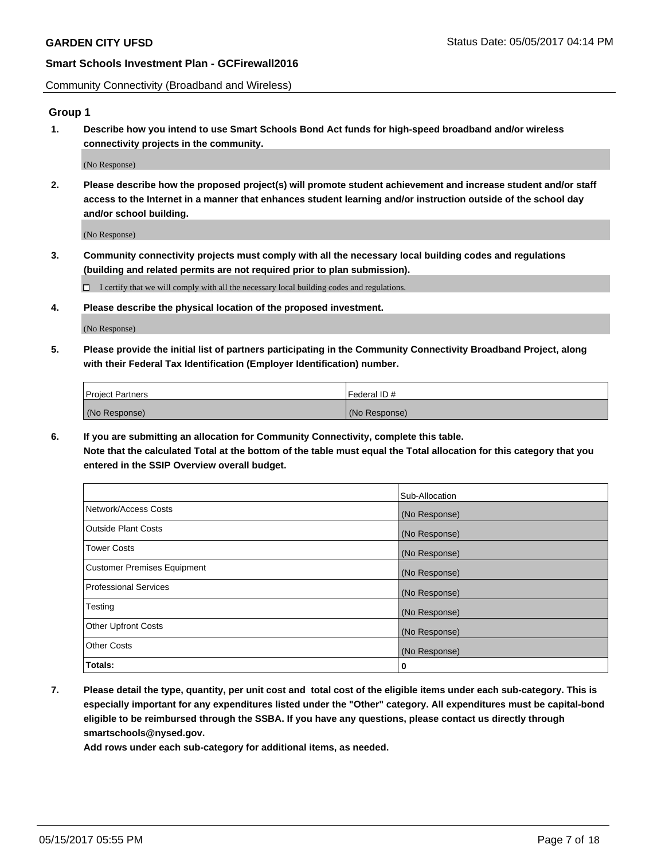Community Connectivity (Broadband and Wireless)

### **Group 1**

**1. Describe how you intend to use Smart Schools Bond Act funds for high-speed broadband and/or wireless connectivity projects in the community.**

(No Response)

**2. Please describe how the proposed project(s) will promote student achievement and increase student and/or staff access to the Internet in a manner that enhances student learning and/or instruction outside of the school day and/or school building.**

(No Response)

**3. Community connectivity projects must comply with all the necessary local building codes and regulations (building and related permits are not required prior to plan submission).**

 $\Box$  I certify that we will comply with all the necessary local building codes and regulations.

**4. Please describe the physical location of the proposed investment.**

(No Response)

**5. Please provide the initial list of partners participating in the Community Connectivity Broadband Project, along with their Federal Tax Identification (Employer Identification) number.**

| <b>Project Partners</b> | Federal ID#   |
|-------------------------|---------------|
| (No Response)           | (No Response) |

**6. If you are submitting an allocation for Community Connectivity, complete this table. Note that the calculated Total at the bottom of the table must equal the Total allocation for this category that you entered in the SSIP Overview overall budget.**

|                                    | Sub-Allocation |
|------------------------------------|----------------|
| Network/Access Costs               | (No Response)  |
| Outside Plant Costs                | (No Response)  |
| <b>Tower Costs</b>                 | (No Response)  |
| <b>Customer Premises Equipment</b> | (No Response)  |
| Professional Services              | (No Response)  |
| Testing                            | (No Response)  |
| <b>Other Upfront Costs</b>         | (No Response)  |
| <b>Other Costs</b>                 | (No Response)  |
| Totals:                            | 0              |

**7. Please detail the type, quantity, per unit cost and total cost of the eligible items under each sub-category. This is especially important for any expenditures listed under the "Other" category. All expenditures must be capital-bond eligible to be reimbursed through the SSBA. If you have any questions, please contact us directly through smartschools@nysed.gov.**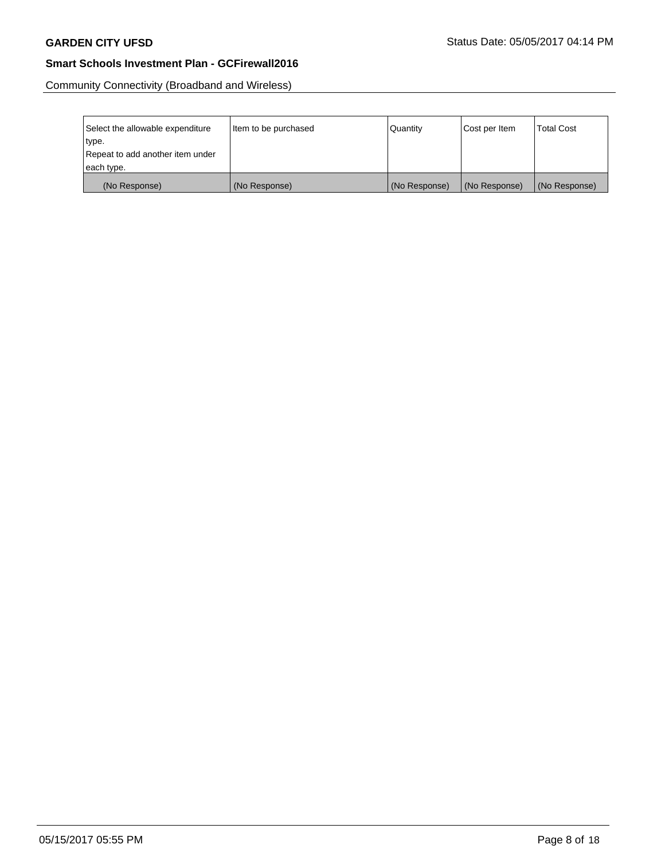Community Connectivity (Broadband and Wireless)

| Select the allowable expenditure<br>type. | Item to be purchased | Quantity      | Cost per Item | <b>Total Cost</b> |
|-------------------------------------------|----------------------|---------------|---------------|-------------------|
| Repeat to add another item under          |                      |               |               |                   |
| each type.                                |                      |               |               |                   |
| (No Response)                             | (No Response)        | (No Response) | (No Response) | (No Response)     |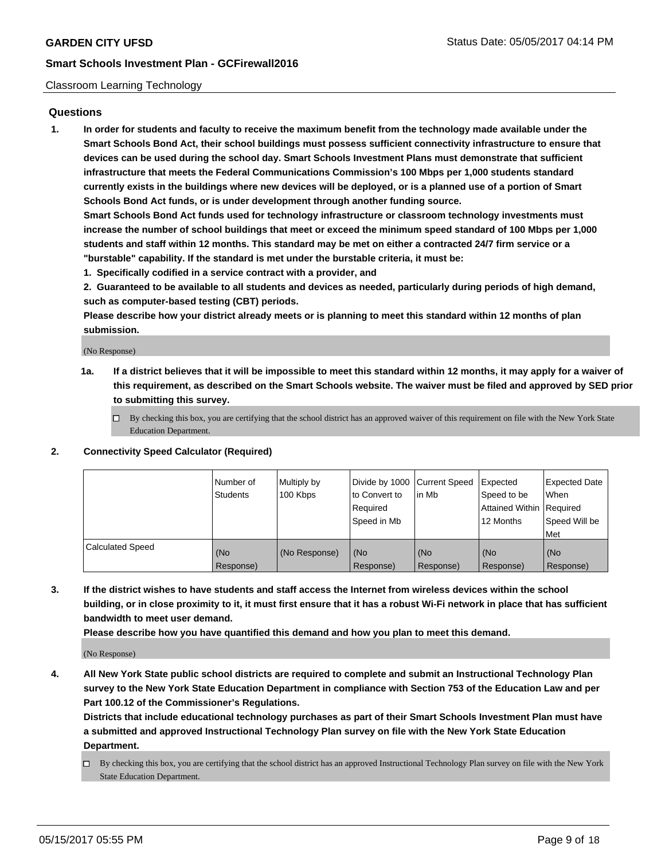#### Classroom Learning Technology

#### **Questions**

**1. In order for students and faculty to receive the maximum benefit from the technology made available under the Smart Schools Bond Act, their school buildings must possess sufficient connectivity infrastructure to ensure that devices can be used during the school day. Smart Schools Investment Plans must demonstrate that sufficient infrastructure that meets the Federal Communications Commission's 100 Mbps per 1,000 students standard currently exists in the buildings where new devices will be deployed, or is a planned use of a portion of Smart Schools Bond Act funds, or is under development through another funding source.**

**Smart Schools Bond Act funds used for technology infrastructure or classroom technology investments must increase the number of school buildings that meet or exceed the minimum speed standard of 100 Mbps per 1,000 students and staff within 12 months. This standard may be met on either a contracted 24/7 firm service or a "burstable" capability. If the standard is met under the burstable criteria, it must be:**

**1. Specifically codified in a service contract with a provider, and**

**2. Guaranteed to be available to all students and devices as needed, particularly during periods of high demand, such as computer-based testing (CBT) periods.**

**Please describe how your district already meets or is planning to meet this standard within 12 months of plan submission.**

(No Response)

- **1a. If a district believes that it will be impossible to meet this standard within 12 months, it may apply for a waiver of this requirement, as described on the Smart Schools website. The waiver must be filed and approved by SED prior to submitting this survey.**
	- $\Box$  By checking this box, you are certifying that the school district has an approved waiver of this requirement on file with the New York State Education Department.

#### **2. Connectivity Speed Calculator (Required)**

|                         | Number of<br><b>Students</b> | Multiply by<br>100 Kbps | Divide by 1000 Current Speed<br>to Convert to<br>Required<br>l Speed in Mb | in Mb                        | Expected<br>Speed to be<br>Attained Within   Required<br>12 Months | <b>Expected Date</b><br><b>When</b><br>Speed Will be<br>Met |
|-------------------------|------------------------------|-------------------------|----------------------------------------------------------------------------|------------------------------|--------------------------------------------------------------------|-------------------------------------------------------------|
| <b>Calculated Speed</b> | (No<br>Response)             | (No Response)           | l (No<br>Response)                                                         | KN <sub>O</sub><br>Response) | (No<br>Response)                                                   | (No<br>Response)                                            |

**3. If the district wishes to have students and staff access the Internet from wireless devices within the school building, or in close proximity to it, it must first ensure that it has a robust Wi-Fi network in place that has sufficient bandwidth to meet user demand.**

**Please describe how you have quantified this demand and how you plan to meet this demand.**

(No Response)

**4. All New York State public school districts are required to complete and submit an Instructional Technology Plan survey to the New York State Education Department in compliance with Section 753 of the Education Law and per Part 100.12 of the Commissioner's Regulations.**

**Districts that include educational technology purchases as part of their Smart Schools Investment Plan must have a submitted and approved Instructional Technology Plan survey on file with the New York State Education Department.**

By checking this box, you are certifying that the school district has an approved Instructional Technology Plan survey on file with the New York State Education Department.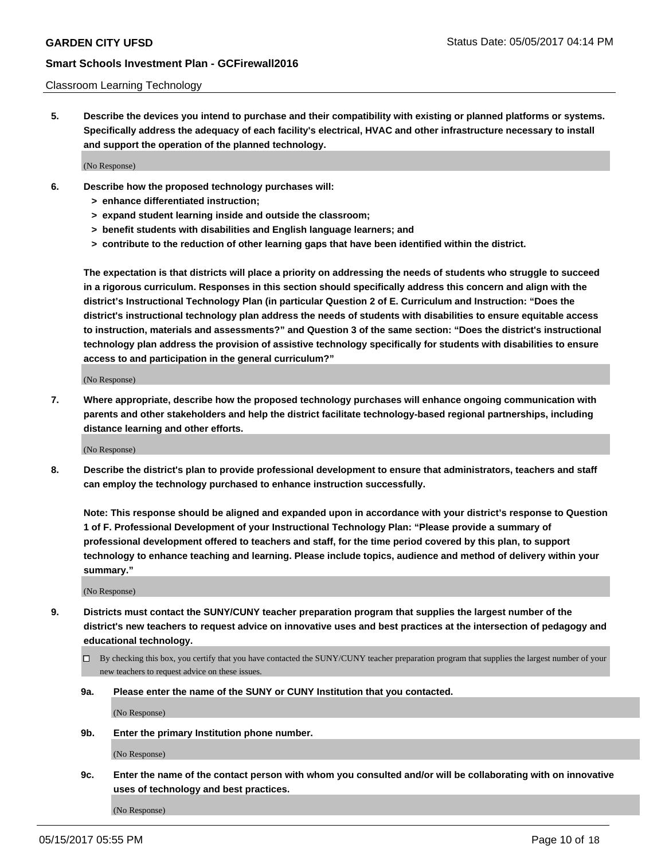#### Classroom Learning Technology

**5. Describe the devices you intend to purchase and their compatibility with existing or planned platforms or systems. Specifically address the adequacy of each facility's electrical, HVAC and other infrastructure necessary to install and support the operation of the planned technology.**

(No Response)

- **6. Describe how the proposed technology purchases will:**
	- **> enhance differentiated instruction;**
	- **> expand student learning inside and outside the classroom;**
	- **> benefit students with disabilities and English language learners; and**
	- **> contribute to the reduction of other learning gaps that have been identified within the district.**

**The expectation is that districts will place a priority on addressing the needs of students who struggle to succeed in a rigorous curriculum. Responses in this section should specifically address this concern and align with the district's Instructional Technology Plan (in particular Question 2 of E. Curriculum and Instruction: "Does the district's instructional technology plan address the needs of students with disabilities to ensure equitable access to instruction, materials and assessments?" and Question 3 of the same section: "Does the district's instructional technology plan address the provision of assistive technology specifically for students with disabilities to ensure access to and participation in the general curriculum?"**

(No Response)

**7. Where appropriate, describe how the proposed technology purchases will enhance ongoing communication with parents and other stakeholders and help the district facilitate technology-based regional partnerships, including distance learning and other efforts.**

(No Response)

**8. Describe the district's plan to provide professional development to ensure that administrators, teachers and staff can employ the technology purchased to enhance instruction successfully.**

**Note: This response should be aligned and expanded upon in accordance with your district's response to Question 1 of F. Professional Development of your Instructional Technology Plan: "Please provide a summary of professional development offered to teachers and staff, for the time period covered by this plan, to support technology to enhance teaching and learning. Please include topics, audience and method of delivery within your summary."**

(No Response)

- **9. Districts must contact the SUNY/CUNY teacher preparation program that supplies the largest number of the district's new teachers to request advice on innovative uses and best practices at the intersection of pedagogy and educational technology.**
	- By checking this box, you certify that you have contacted the SUNY/CUNY teacher preparation program that supplies the largest number of your new teachers to request advice on these issues.
	- **9a. Please enter the name of the SUNY or CUNY Institution that you contacted.**

(No Response)

**9b. Enter the primary Institution phone number.**

(No Response)

**9c. Enter the name of the contact person with whom you consulted and/or will be collaborating with on innovative uses of technology and best practices.**

(No Response)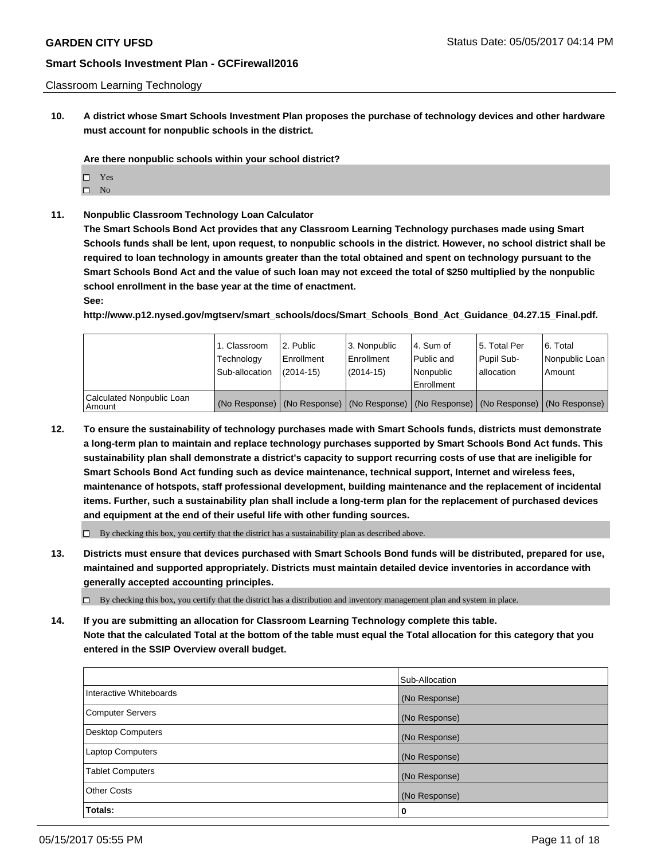Classroom Learning Technology

**10. A district whose Smart Schools Investment Plan proposes the purchase of technology devices and other hardware must account for nonpublic schools in the district.**

**Are there nonpublic schools within your school district?**

- □ Yes
- $\square$  No
- **11. Nonpublic Classroom Technology Loan Calculator**

**The Smart Schools Bond Act provides that any Classroom Learning Technology purchases made using Smart Schools funds shall be lent, upon request, to nonpublic schools in the district. However, no school district shall be required to loan technology in amounts greater than the total obtained and spent on technology pursuant to the Smart Schools Bond Act and the value of such loan may not exceed the total of \$250 multiplied by the nonpublic school enrollment in the base year at the time of enactment.**

#### **See:**

**http://www.p12.nysed.gov/mgtserv/smart\_schools/docs/Smart\_Schools\_Bond\_Act\_Guidance\_04.27.15\_Final.pdf.**

|                                     | 1. Classroom<br>Technology<br>Sub-allocation | 2. Public<br>Enrollment<br>(2014-15) | 3. Nonpublic<br>Enrollment<br>(2014-15) | l 4. Sum of<br>Public and<br>l Nonpublic<br>Enrollment                                        | 15. Total Per<br>Pupil Sub-<br>l allocation | l 6. Total<br>Nonpublic Loan<br>l Amount |
|-------------------------------------|----------------------------------------------|--------------------------------------|-----------------------------------------|-----------------------------------------------------------------------------------------------|---------------------------------------------|------------------------------------------|
| Calculated Nonpublic Loan<br>Amount |                                              |                                      |                                         | (No Response)   (No Response)   (No Response)   (No Response)   (No Response)   (No Response) |                                             |                                          |

**12. To ensure the sustainability of technology purchases made with Smart Schools funds, districts must demonstrate a long-term plan to maintain and replace technology purchases supported by Smart Schools Bond Act funds. This sustainability plan shall demonstrate a district's capacity to support recurring costs of use that are ineligible for Smart Schools Bond Act funding such as device maintenance, technical support, Internet and wireless fees, maintenance of hotspots, staff professional development, building maintenance and the replacement of incidental items. Further, such a sustainability plan shall include a long-term plan for the replacement of purchased devices and equipment at the end of their useful life with other funding sources.**

 $\Box$  By checking this box, you certify that the district has a sustainability plan as described above.

**13. Districts must ensure that devices purchased with Smart Schools Bond funds will be distributed, prepared for use, maintained and supported appropriately. Districts must maintain detailed device inventories in accordance with generally accepted accounting principles.**

By checking this box, you certify that the district has a distribution and inventory management plan and system in place.

**14. If you are submitting an allocation for Classroom Learning Technology complete this table. Note that the calculated Total at the bottom of the table must equal the Total allocation for this category that you entered in the SSIP Overview overall budget.**

|                          | Sub-Allocation |
|--------------------------|----------------|
| Interactive Whiteboards  | (No Response)  |
| <b>Computer Servers</b>  | (No Response)  |
| <b>Desktop Computers</b> | (No Response)  |
| <b>Laptop Computers</b>  | (No Response)  |
| <b>Tablet Computers</b>  | (No Response)  |
| Other Costs              | (No Response)  |
| Totals:                  | 0              |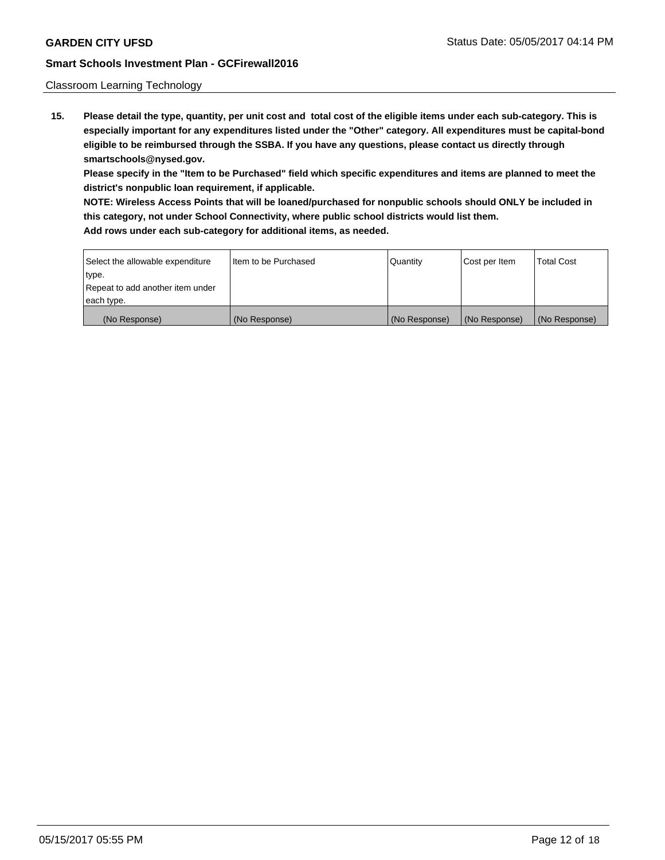#### Classroom Learning Technology

**15. Please detail the type, quantity, per unit cost and total cost of the eligible items under each sub-category. This is especially important for any expenditures listed under the "Other" category. All expenditures must be capital-bond eligible to be reimbursed through the SSBA. If you have any questions, please contact us directly through smartschools@nysed.gov.**

**Please specify in the "Item to be Purchased" field which specific expenditures and items are planned to meet the district's nonpublic loan requirement, if applicable.**

**NOTE: Wireless Access Points that will be loaned/purchased for nonpublic schools should ONLY be included in this category, not under School Connectivity, where public school districts would list them.**

| Select the allowable expenditure | I Item to be Purchased | Quantity      | Cost per Item | <b>Total Cost</b> |
|----------------------------------|------------------------|---------------|---------------|-------------------|
| type.                            |                        |               |               |                   |
| Repeat to add another item under |                        |               |               |                   |
| each type.                       |                        |               |               |                   |
| (No Response)                    | (No Response)          | (No Response) | (No Response) | (No Response)     |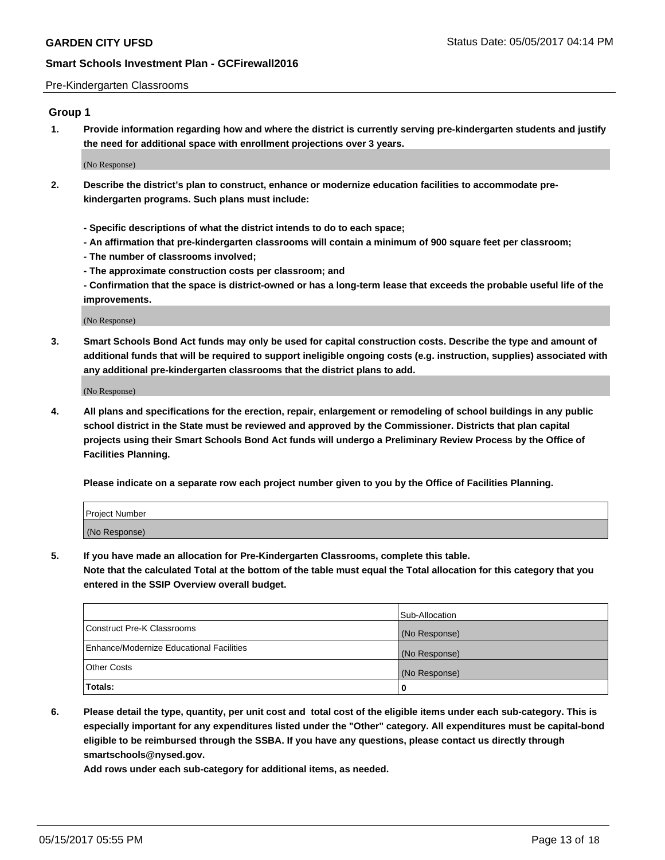#### Pre-Kindergarten Classrooms

## **Group 1**

**1. Provide information regarding how and where the district is currently serving pre-kindergarten students and justify the need for additional space with enrollment projections over 3 years.**

(No Response)

- **2. Describe the district's plan to construct, enhance or modernize education facilities to accommodate prekindergarten programs. Such plans must include:**
	- **Specific descriptions of what the district intends to do to each space;**
	- **An affirmation that pre-kindergarten classrooms will contain a minimum of 900 square feet per classroom;**
	- **The number of classrooms involved;**
	- **The approximate construction costs per classroom; and**

**- Confirmation that the space is district-owned or has a long-term lease that exceeds the probable useful life of the improvements.**

(No Response)

**3. Smart Schools Bond Act funds may only be used for capital construction costs. Describe the type and amount of additional funds that will be required to support ineligible ongoing costs (e.g. instruction, supplies) associated with any additional pre-kindergarten classrooms that the district plans to add.**

(No Response)

**4. All plans and specifications for the erection, repair, enlargement or remodeling of school buildings in any public school district in the State must be reviewed and approved by the Commissioner. Districts that plan capital projects using their Smart Schools Bond Act funds will undergo a Preliminary Review Process by the Office of Facilities Planning.**

**Please indicate on a separate row each project number given to you by the Office of Facilities Planning.**

| Project Number |  |
|----------------|--|
| (No Response)  |  |

**5. If you have made an allocation for Pre-Kindergarten Classrooms, complete this table.**

**Note that the calculated Total at the bottom of the table must equal the Total allocation for this category that you entered in the SSIP Overview overall budget.**

|                                          | Sub-Allocation |
|------------------------------------------|----------------|
| Construct Pre-K Classrooms               | (No Response)  |
| Enhance/Modernize Educational Facilities | (No Response)  |
| Other Costs                              | (No Response)  |
| Totals:                                  | 0              |

**6. Please detail the type, quantity, per unit cost and total cost of the eligible items under each sub-category. This is especially important for any expenditures listed under the "Other" category. All expenditures must be capital-bond eligible to be reimbursed through the SSBA. If you have any questions, please contact us directly through smartschools@nysed.gov.**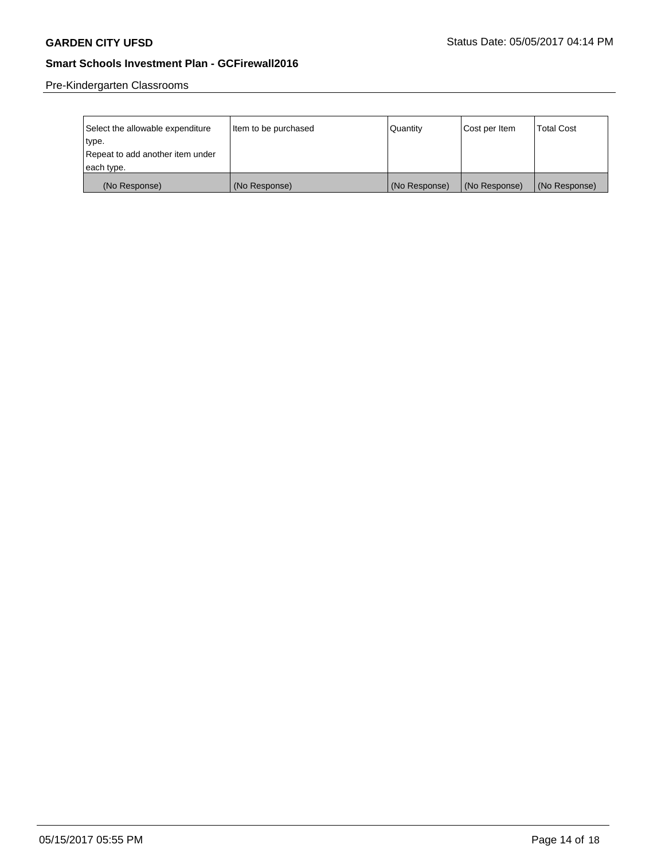Pre-Kindergarten Classrooms

| Select the allowable expenditure<br>type. | Item to be purchased | Quantity      | Cost per Item | Total Cost    |
|-------------------------------------------|----------------------|---------------|---------------|---------------|
| Repeat to add another item under          |                      |               |               |               |
| each type.                                |                      |               |               |               |
| (No Response)                             | (No Response)        | (No Response) | (No Response) | (No Response) |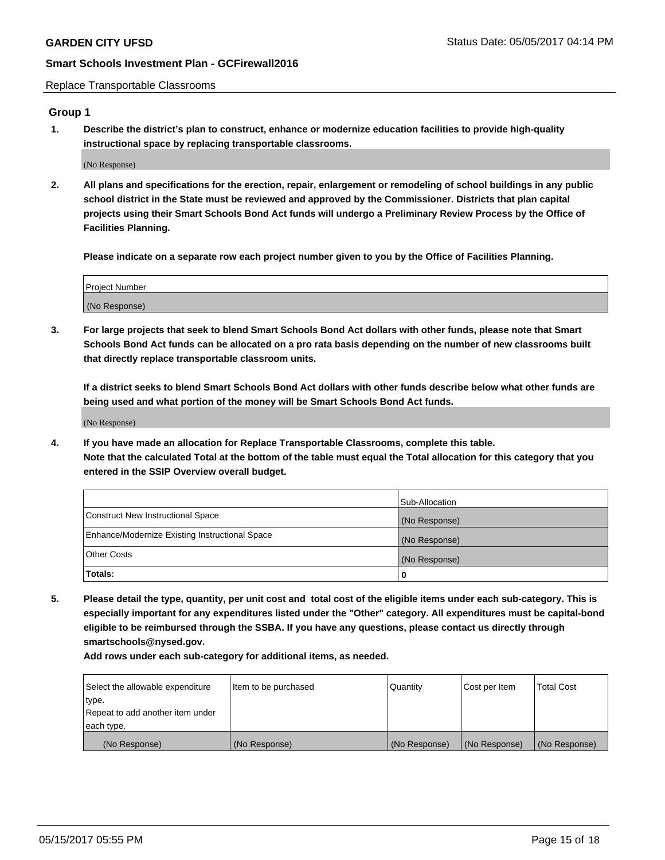Replace Transportable Classrooms

## **Group 1**

**1. Describe the district's plan to construct, enhance or modernize education facilities to provide high-quality instructional space by replacing transportable classrooms.**

(No Response)

**2. All plans and specifications for the erection, repair, enlargement or remodeling of school buildings in any public school district in the State must be reviewed and approved by the Commissioner. Districts that plan capital projects using their Smart Schools Bond Act funds will undergo a Preliminary Review Process by the Office of Facilities Planning.**

**Please indicate on a separate row each project number given to you by the Office of Facilities Planning.**

| Project Number |  |
|----------------|--|
| (No Response)  |  |

**3. For large projects that seek to blend Smart Schools Bond Act dollars with other funds, please note that Smart Schools Bond Act funds can be allocated on a pro rata basis depending on the number of new classrooms built that directly replace transportable classroom units.**

**If a district seeks to blend Smart Schools Bond Act dollars with other funds describe below what other funds are being used and what portion of the money will be Smart Schools Bond Act funds.**

(No Response)

**4. If you have made an allocation for Replace Transportable Classrooms, complete this table. Note that the calculated Total at the bottom of the table must equal the Total allocation for this category that you entered in the SSIP Overview overall budget.**

|                                                | Sub-Allocation |
|------------------------------------------------|----------------|
| Construct New Instructional Space              | (No Response)  |
| Enhance/Modernize Existing Instructional Space | (No Response)  |
| Other Costs                                    | (No Response)  |
| Totals:                                        | 0              |

**5. Please detail the type, quantity, per unit cost and total cost of the eligible items under each sub-category. This is especially important for any expenditures listed under the "Other" category. All expenditures must be capital-bond eligible to be reimbursed through the SSBA. If you have any questions, please contact us directly through smartschools@nysed.gov.**

| Select the allowable expenditure | Item to be purchased | Quantity      | Cost per Item | <b>Total Cost</b> |
|----------------------------------|----------------------|---------------|---------------|-------------------|
| type.                            |                      |               |               |                   |
| Repeat to add another item under |                      |               |               |                   |
| each type.                       |                      |               |               |                   |
| (No Response)                    | (No Response)        | (No Response) | (No Response) | (No Response)     |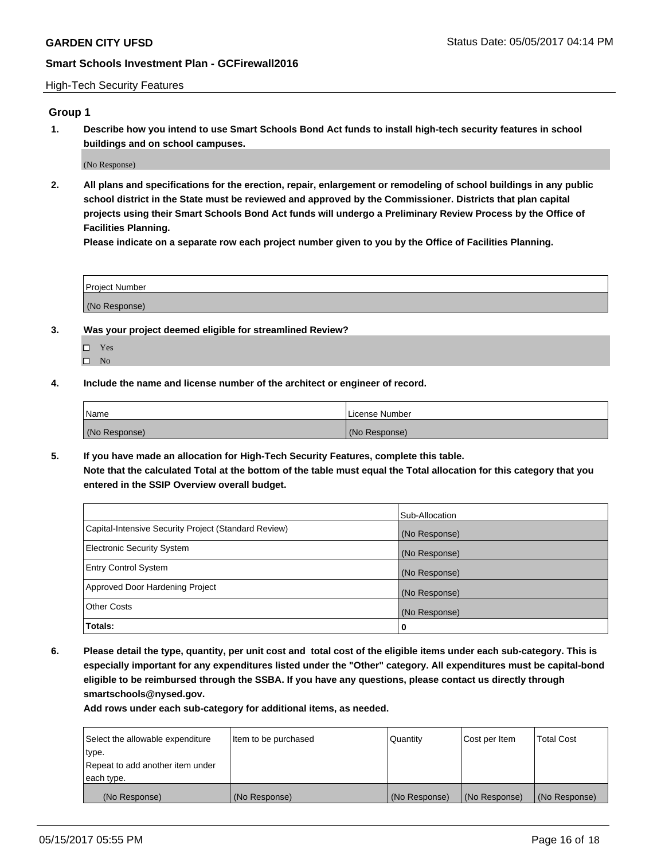#### High-Tech Security Features

## **Group 1**

**1. Describe how you intend to use Smart Schools Bond Act funds to install high-tech security features in school buildings and on school campuses.**

(No Response)

**2. All plans and specifications for the erection, repair, enlargement or remodeling of school buildings in any public school district in the State must be reviewed and approved by the Commissioner. Districts that plan capital projects using their Smart Schools Bond Act funds will undergo a Preliminary Review Process by the Office of Facilities Planning.** 

**Please indicate on a separate row each project number given to you by the Office of Facilities Planning.**

| <b>Project Number</b> |  |
|-----------------------|--|
| (No Response)         |  |

- **3. Was your project deemed eligible for streamlined Review?**
	- Yes  $\square$  No
- **4. Include the name and license number of the architect or engineer of record.**

| <b>Name</b>   | License Number |
|---------------|----------------|
| (No Response) | (No Response)  |

**5. If you have made an allocation for High-Tech Security Features, complete this table. Note that the calculated Total at the bottom of the table must equal the Total allocation for this category that you entered in the SSIP Overview overall budget.**

|                                                      | Sub-Allocation |
|------------------------------------------------------|----------------|
| Capital-Intensive Security Project (Standard Review) | (No Response)  |
| <b>Electronic Security System</b>                    | (No Response)  |
| <b>Entry Control System</b>                          | (No Response)  |
| Approved Door Hardening Project                      | (No Response)  |
| <b>Other Costs</b>                                   | (No Response)  |
| Totals:                                              | 0              |

**6. Please detail the type, quantity, per unit cost and total cost of the eligible items under each sub-category. This is especially important for any expenditures listed under the "Other" category. All expenditures must be capital-bond eligible to be reimbursed through the SSBA. If you have any questions, please contact us directly through smartschools@nysed.gov.**

| Select the allowable expenditure | Item to be purchased | Quantity      | Cost per Item | <b>Total Cost</b> |
|----------------------------------|----------------------|---------------|---------------|-------------------|
| type.                            |                      |               |               |                   |
| Repeat to add another item under |                      |               |               |                   |
| each type.                       |                      |               |               |                   |
| (No Response)                    | (No Response)        | (No Response) | (No Response) | (No Response)     |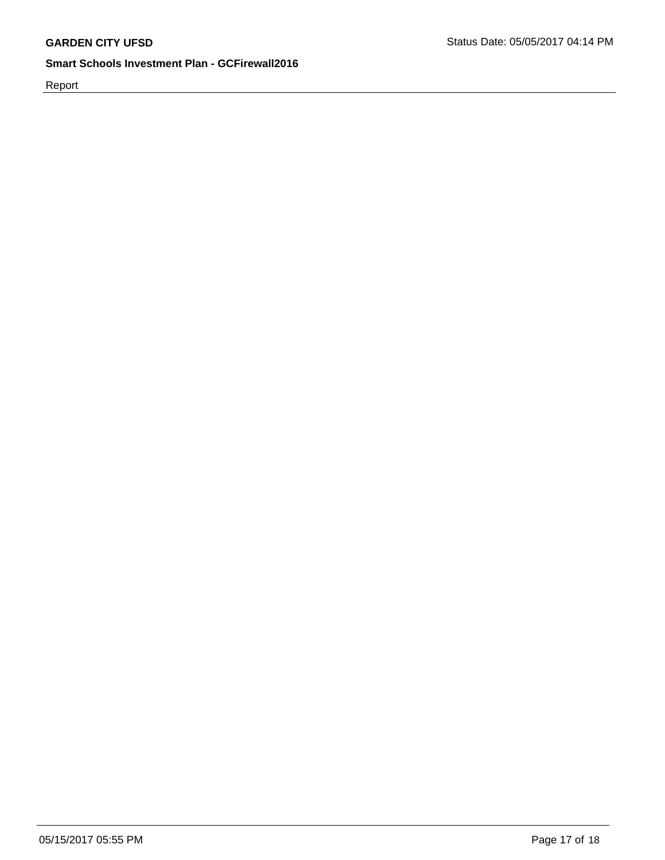Report